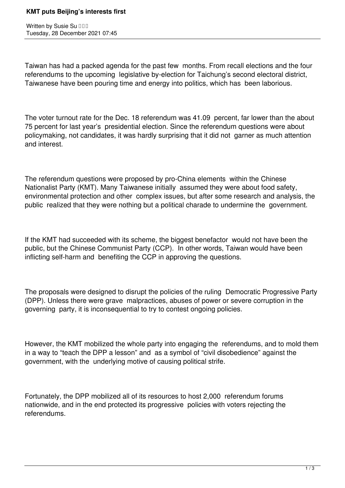## **KMT puts Beijing's interests first**

Written by Susie Su **III** Tuesday, 28 December 2021 07:45

Taiwan has had a packed agenda for the past few months. From recall elections and the four referendums to the upcoming legislative by-election for Taichung's second electoral district, Taiwanese have been pouring time and energy into politics, which has been laborious.

The voter turnout rate for the Dec. 18 referendum was 41.09 percent, far lower than the about 75 percent for last year's presidential election. Since the referendum questions were about policymaking, not candidates, it was hardly surprising that it did not garner as much attention and interest.

The referendum questions were proposed by pro-China elements within the Chinese Nationalist Party (KMT). Many Taiwanese initially assumed they were about food safety, environmental protection and other complex issues, but after some research and analysis, the public realized that they were nothing but a political charade to undermine the government.

If the KMT had succeeded with its scheme, the biggest benefactor would not have been the public, but the Chinese Communist Party (CCP). In other words, Taiwan would have been inflicting self-harm and benefiting the CCP in approving the questions.

The proposals were designed to disrupt the policies of the ruling Democratic Progressive Party (DPP). Unless there were grave malpractices, abuses of power or severe corruption in the governing party, it is inconsequential to try to contest ongoing policies.

However, the KMT mobilized the whole party into engaging the referendums, and to mold them in a way to "teach the DPP a lesson" and as a symbol of "civil disobedience" against the government, with the underlying motive of causing political strife.

Fortunately, the DPP mobilized all of its resources to host 2,000 referendum forums nationwide, and in the end protected its progressive policies with voters rejecting the referendums.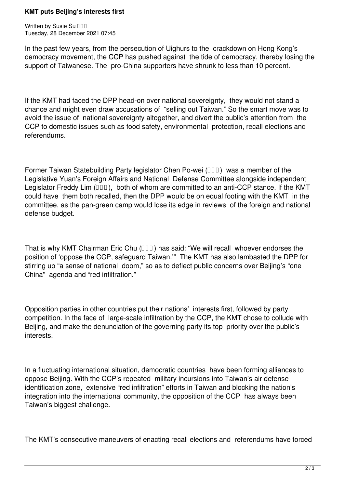## **KMT puts Beijing's interests first**

Written by Susie Su **DDD** Tuesday, 28 December 2021 07:45

In the past few years, from the persecution of Uighurs to the crackdown on Hong Kong's democracy movement, the CCP has pushed against the tide of democracy, thereby losing the support of Taiwanese. The pro-China supporters have shrunk to less than 10 percent.

If the KMT had faced the DPP head-on over national sovereignty, they would not stand a chance and might even draw accusations of "selling out Taiwan." So the smart move was to avoid the issue of national sovereignty altogether, and divert the public's attention from the CCP to domestic issues such as food safety, environmental protection, recall elections and referendums.

Former Taiwan Statebuilding Party legislator Chen Po-wei  $(III)$  was a member of the Legislative Yuan's Foreign Affairs and National Defense Committee alongside independent Legislator Freddy Lim  $(III)$ , both of whom are committed to an anti-CCP stance. If the KMT could have them both recalled, then the DPP would be on equal footing with the KMT in the committee, as the pan-green camp would lose its edge in reviews of the foreign and national defense budget.

That is why KMT Chairman Eric Chu  $(III)$  has said: "We will recall whoever endorses the position of 'oppose the CCP, safeguard Taiwan.'" The KMT has also lambasted the DPP for stirring up "a sense of national doom," so as to deflect public concerns over Beijing's "one China" agenda and "red infiltration."

Opposition parties in other countries put their nations' interests first, followed by party competition. In the face of large-scale infiltration by the CCP, the KMT chose to collude with Beijing, and make the denunciation of the governing party its top priority over the public's interests.

In a fluctuating international situation, democratic countries have been forming alliances to oppose Beijing. With the CCP's repeated military incursions into Taiwan's air defense identification zone, extensive "red infiltration" efforts in Taiwan and blocking the nation's integration into the international community, the opposition of the CCP has always been Taiwan's biggest challenge.

The KMT's consecutive maneuvers of enacting recall elections and referendums have forced